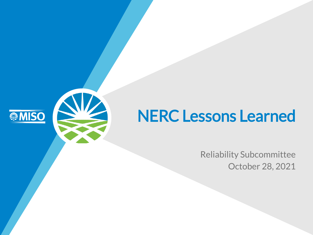#### NERC Lessons Learned

**MISO** 

Reliability Subcommittee October 28, 2021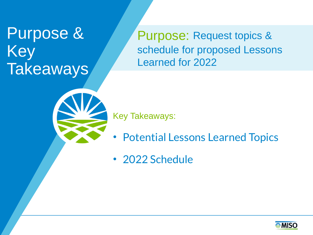#### Purpose & Key **Takeaways**

Purpose: Request topics & schedule for proposed Lessons Learned for 2022

Key Takeaways:

- Potential Lessons Learned Topics
- 2022 Schedule

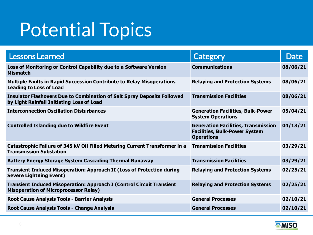## Potential Topics

| <b>Lessons Learned</b>                                                                                                       | Category                                                                                                | Date     |
|------------------------------------------------------------------------------------------------------------------------------|---------------------------------------------------------------------------------------------------------|----------|
| Loss of Monitoring or Control Capability due to a Software Version<br><b>Mismatch</b>                                        | <b>Communications</b>                                                                                   | 08/06/21 |
| <b>Multiple Faults in Rapid Succession Contribute to Relay Misoperations</b><br><b>Leading to Loss of Load</b>               | <b>Relaying and Protection Systems</b>                                                                  | 08/06/21 |
| <b>Insulator Flashovers Due to Combination of Salt Spray Deposits Followed</b><br>by Light Rainfall Initiating Loss of Load  | <b>Transmission Facilities</b>                                                                          | 08/06/21 |
| <b>Interconnection Oscillation Disturbances</b>                                                                              | <b>Generation Facilities, Bulk-Power</b><br><b>System Operations</b>                                    | 05/04/21 |
| <b>Controlled Islanding due to Wildfire Event</b>                                                                            | <b>Generation Facilities, Transmission</b><br><b>Facilities, Bulk-Power System</b><br><b>Operations</b> | 04/13/21 |
| Catastrophic Failure of 345 kV Oil Filled Metering Current Transformer in a<br><b>Transmission Substation</b>                | <b>Transmission Facilities</b>                                                                          | 03/29/21 |
| <b>Battery Energy Storage System Cascading Thermal Runaway</b>                                                               | <b>Transmission Facilities</b>                                                                          | 03/29/21 |
| <b>Transient Induced Misoperation: Approach II (Loss of Protection during</b><br><b>Severe Lightning Event)</b>              | <b>Relaying and Protection Systems</b>                                                                  | 02/25/21 |
| <b>Transient Induced Misoperation: Approach I (Control Circuit Transient</b><br><b>Misoperation of Microprocessor Relay)</b> | <b>Relaying and Protection Systems</b>                                                                  | 02/25/21 |
| <b>Root Cause Analysis Tools - Barrier Analysis</b>                                                                          | <b>General Processes</b>                                                                                | 02/10/21 |
| <b>Root Cause Analysis Tools - Change Analysis</b>                                                                           | <b>General Processes</b>                                                                                | 02/10/21 |

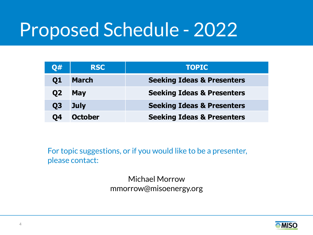### Proposed Schedule - 2022

| <b>Q#</b> | <b>RSC</b>     | <b>TOPIC</b>                          |
|-----------|----------------|---------------------------------------|
| Q1        | <b>March</b>   | <b>Seeking Ideas &amp; Presenters</b> |
| <b>Q2</b> | <b>May</b>     | <b>Seeking Ideas &amp; Presenters</b> |
| <b>Q3</b> | <b>July</b>    | <b>Seeking Ideas &amp; Presenters</b> |
| 04        | <b>October</b> | <b>Seeking Ideas &amp; Presenters</b> |

For topic suggestions, or if you would like to be a presenter, please contact:

> Michael Morrow mmorrow@misoenergy.org